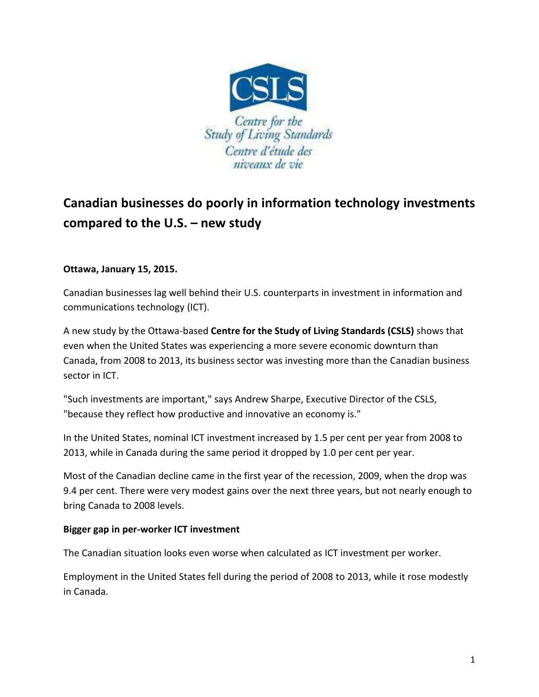

## **Canadian businesses do poorly in information technology investments compared to the U.S. – new study**

## **Ottawa, January 15, 2015.**

Canadian businesses lag well behind their U.S. counterparts in investment in information and communications technology (ICT).

A new study by the Ottawa-based **Centre for the Study of Living Standards (CSLS)** shows that even when the United States was experiencing a more severe economic downturn than Canada, from 2008 to 2013, its business sector was investing more than the Canadian business sector in ICT.

"Such investments are important," says Andrew Sharpe, Executive Director of the CSLS, "because they reflect how productive and innovative an economy is."

In the United States, nominal ICT investment increased by 1.5 per cent per year from 2008 to 2013, while in Canada during the same period it dropped by 1.0 per cent per year.

Most of the Canadian decline came in the first year of the recession, 2009, when the drop was 9.4 per cent. There were very modest gains over the next three years, but not nearly enough to bring Canada to 2008 levels.

## **Bigger gap in per-worker ICT investment**

The Canadian situation looks even worse when calculated as ICT investment per worker.

Employment in the United States fell during the period of 2008 to 2013, while it rose modestly in Canada.